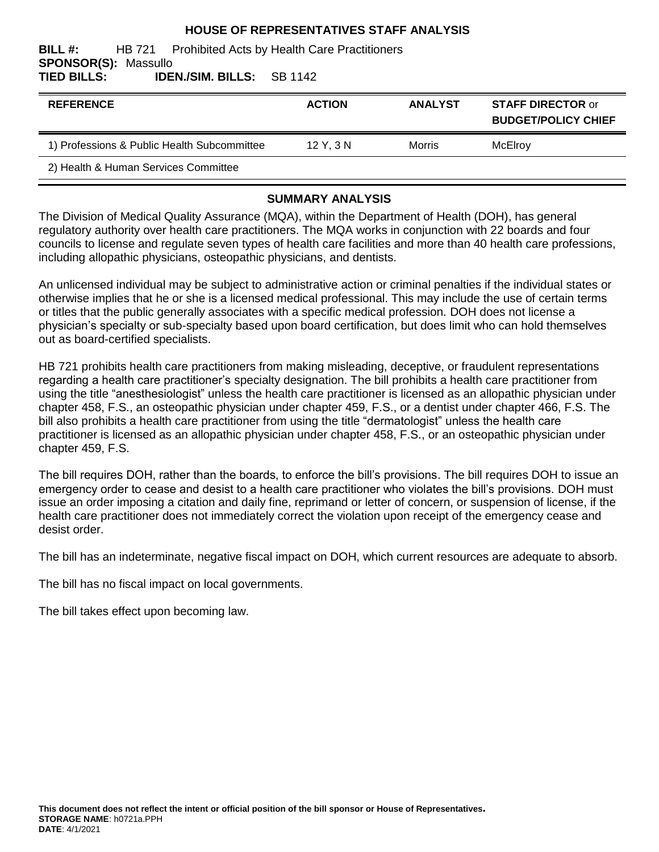#### **HOUSE OF REPRESENTATIVES STAFF ANALYSIS**

#### **BILL #:** HB 721 Prohibited Acts by Health Care Practitioners **SPONSOR(S):** Massullo **TIED BILLS: IDEN./SIM. BILLS:** SB 1142

| <b>REFERENCE</b>                            | <b>ACTION</b> | <b>ANALYST</b> | <b>STAFF DIRECTOR or</b><br><b>BUDGET/POLICY CHIEF</b> |
|---------------------------------------------|---------------|----------------|--------------------------------------------------------|
| 1) Professions & Public Health Subcommittee | $12$ Y, $3$ N | <b>Morris</b>  | McElroy                                                |
| 2) Health & Human Services Committee        |               |                |                                                        |

#### **SUMMARY ANALYSIS**

The Division of Medical Quality Assurance (MQA), within the Department of Health (DOH), has general regulatory authority over health care practitioners. The MQA works in conjunction with 22 boards and four councils to license and regulate seven types of health care facilities and more than 40 health care professions, including allopathic physicians, osteopathic physicians, and dentists.

An unlicensed individual may be subject to administrative action or criminal penalties if the individual states or otherwise implies that he or she is a licensed medical professional. This may include the use of certain terms or titles that the public generally associates with a specific medical profession. DOH does not license a physician's specialty or sub-specialty based upon board certification, but does limit who can hold themselves out as board-certified specialists.

HB 721 prohibits health care practitioners from making misleading, deceptive, or fraudulent representations regarding a health care practitioner's specialty designation. The bill prohibits a health care practitioner from using the title "anesthesiologist" unless the health care practitioner is licensed as an allopathic physician under chapter 458, F.S., an osteopathic physician under chapter 459, F.S., or a dentist under chapter 466, F.S. The bill also prohibits a health care practitioner from using the title "dermatologist" unless the health care practitioner is licensed as an allopathic physician under chapter 458, F.S., or an osteopathic physician under chapter 459, F.S.

The bill requires DOH, rather than the boards, to enforce the bill's provisions. The bill requires DOH to issue an emergency order to cease and desist to a health care practitioner who violates the bill's provisions. DOH must issue an order imposing a citation and daily fine, reprimand or letter of concern, or suspension of license, if the health care practitioner does not immediately correct the violation upon receipt of the emergency cease and desist order.

The bill has an indeterminate, negative fiscal impact on DOH, which current resources are adequate to absorb.

The bill has no fiscal impact on local governments.

The bill takes effect upon becoming law.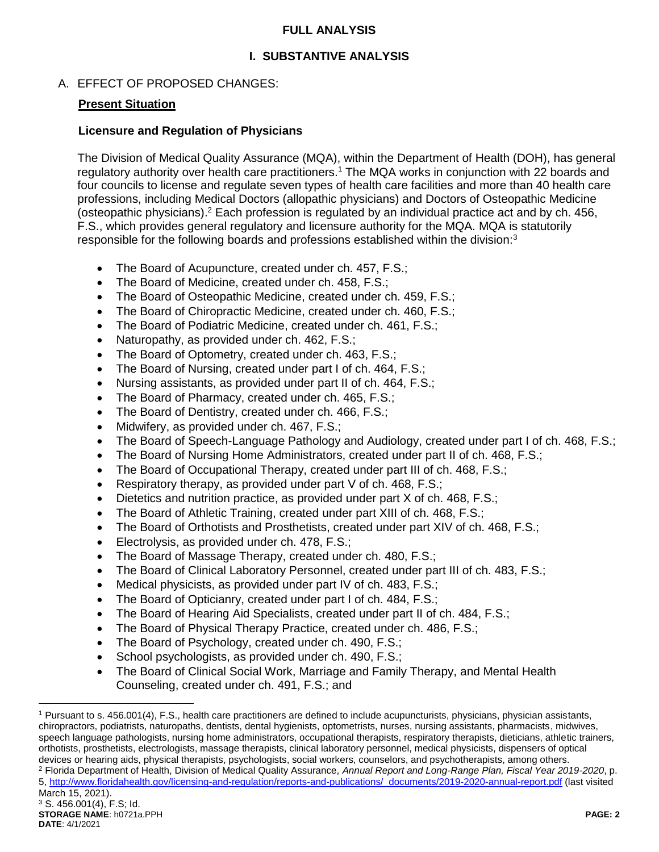## **FULL ANALYSIS**

## **I. SUBSTANTIVE ANALYSIS**

## A. EFFECT OF PROPOSED CHANGES:

#### **Present Situation**

#### **Licensure and Regulation of Physicians**

The Division of Medical Quality Assurance (MQA), within the Department of Health (DOH), has general regulatory authority over health care practitioners.<sup>1</sup> The MQA works in conjunction with 22 boards and four councils to license and regulate seven types of health care facilities and more than 40 health care professions, including Medical Doctors (allopathic physicians) and Doctors of Osteopathic Medicine (osteopathic physicians).<sup>2</sup> Each profession is regulated by an individual practice act and by ch. 456, F.S., which provides general regulatory and licensure authority for the MQA. MQA is statutorily responsible for the following boards and professions established within the division: $3$ 

- The Board of Acupuncture, created under ch. 457, F.S.;
- The Board of Medicine, created under ch. 458, F.S.;
- The Board of Osteopathic Medicine, created under ch. 459, F.S.;
- The Board of Chiropractic Medicine, created under ch. 460, F.S.;
- The Board of Podiatric Medicine, created under ch. 461, F.S.;
- Naturopathy, as provided under ch. 462, F.S.;
- The Board of Optometry, created under ch. 463, F.S.;
- The Board of Nursing, created under part I of ch. 464, F.S.;
- Nursing assistants, as provided under part II of ch. 464, F.S.;
- The Board of Pharmacy, created under ch. 465, F.S.:
- The Board of Dentistry, created under ch. 466, F.S.;
- Midwifery, as provided under ch. 467, F.S.;
- The Board of Speech-Language Pathology and Audiology, created under part I of ch. 468, F.S.;
- The Board of Nursing Home Administrators, created under part II of ch. 468, F.S.;
- The Board of Occupational Therapy, created under part III of ch. 468, F.S.;
- Respiratory therapy, as provided under part V of ch. 468, F.S.;
- Dietetics and nutrition practice, as provided under part X of ch. 468, F.S.;
- The Board of Athletic Training, created under part XIII of ch. 468, F.S.;
- The Board of Orthotists and Prosthetists, created under part XIV of ch. 468, F.S.;
- **Electrolysis, as provided under ch. 478, F.S.;**
- The Board of Massage Therapy, created under ch. 480, F.S.;
- The Board of Clinical Laboratory Personnel, created under part III of ch. 483, F.S.;
- Medical physicists, as provided under part IV of ch. 483, F.S.;
- The Board of Opticianry, created under part I of ch. 484, F.S.;
- The Board of Hearing Aid Specialists, created under part II of ch. 484, F.S.;
- The Board of Physical Therapy Practice, created under ch. 486, F.S.;
- The Board of Psychology, created under ch. 490, F.S.;
- School psychologists, as provided under ch. 490, F.S.;
- The Board of Clinical Social Work, Marriage and Family Therapy, and Mental Health Counseling, created under ch. 491, F.S.; and

<sup>2</sup> Florida Department of Health, Division of Medical Quality Assurance, *Annual Report and Long-Range Plan, Fiscal Year 2019-2020*, p. 5, [http://www.floridahealth.gov/licensing-and-regulation/reports-and-publications/\\_documents/2019-2020-annual-report.pdf](http://www.floridahealth.gov/licensing-and-regulation/reports-and-publications/_documents/2019-2020-annual-report.pdf) (last visited March 15, 2021).

<sup>1</sup> Pursuant to s. 456.001(4), F.S., health care practitioners are defined to include acupuncturists, physicians, physician assistants, chiropractors, podiatrists, naturopaths, dentists, dental hygienists, optometrists, nurses, nursing assistants, pharmacists, midwives, speech language pathologists, nursing home administrators, occupational therapists, respiratory therapists, dieticians, athletic trainers, orthotists, prosthetists, electrologists, massage therapists, clinical laboratory personnel, medical physicists, dispensers of optical devices or hearing aids, physical therapists, psychologists, social workers, counselors, and psychotherapists, among others.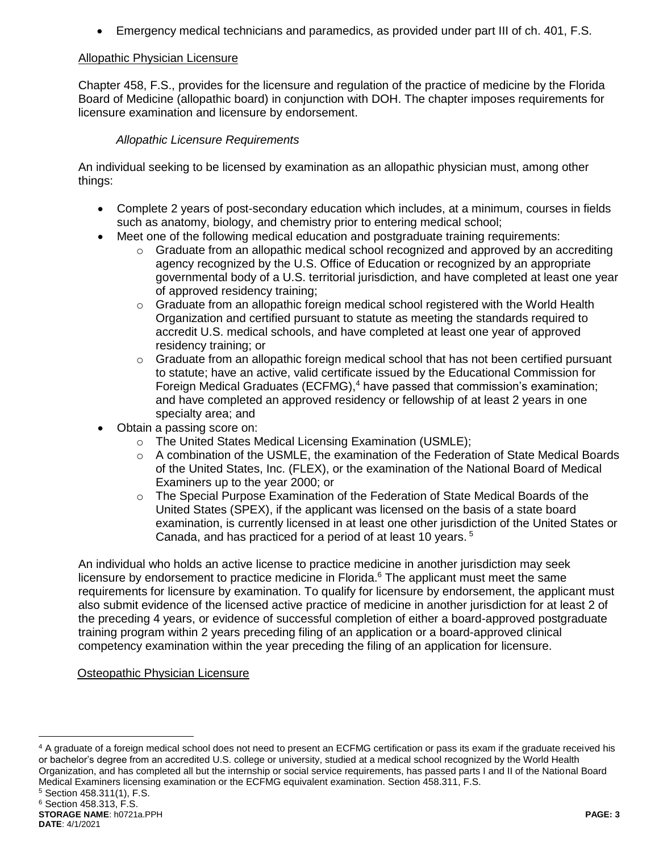Emergency medical technicians and paramedics, as provided under part III of ch. 401, F.S.

## Allopathic Physician Licensure

Chapter 458, F.S., provides for the licensure and regulation of the practice of medicine by the Florida Board of Medicine (allopathic board) in conjunction with DOH. The chapter imposes requirements for licensure examination and licensure by endorsement.

## *Allopathic Licensure Requirements*

An individual seeking to be licensed by examination as an allopathic physician must, among other things:

- Complete 2 years of post-secondary education which includes, at a minimum, courses in fields such as anatomy, biology, and chemistry prior to entering medical school;
- Meet one of the following medical education and postgraduate training requirements:
	- $\circ$  Graduate from an allopathic medical school recognized and approved by an accrediting agency recognized by the U.S. Office of Education or recognized by an appropriate governmental body of a U.S. territorial jurisdiction, and have completed at least one year of approved residency training;
	- $\circ$  Graduate from an allopathic foreign medical school registered with the World Health Organization and certified pursuant to statute as meeting the standards required to accredit U.S. medical schools, and have completed at least one year of approved residency training; or
	- $\circ$  Graduate from an allopathic foreign medical school that has not been certified pursuant to statute; have an active, valid certificate issued by the Educational Commission for Foreign Medical Graduates (ECFMG), $4$  have passed that commission's examination; and have completed an approved residency or fellowship of at least 2 years in one specialty area; and
- Obtain a passing score on:
	- o The United States Medical Licensing Examination (USMLE);
	- $\circ$  A combination of the USMLE, the examination of the Federation of State Medical Boards of the United States, Inc. (FLEX), or the examination of the National Board of Medical Examiners up to the year 2000; or
	- o The Special Purpose Examination of the Federation of State Medical Boards of the United States (SPEX), if the applicant was licensed on the basis of a state board examination, is currently licensed in at least one other jurisdiction of the United States or Canada, and has practiced for a period of at least 10 years. <sup>5</sup>

An individual who holds an active license to practice medicine in another jurisdiction may seek licensure by endorsement to practice medicine in Florida.<sup>6</sup> The applicant must meet the same requirements for licensure by examination. To qualify for licensure by endorsement, the applicant must also submit evidence of the licensed active practice of medicine in another jurisdiction for at least 2 of the preceding 4 years, or evidence of successful completion of either a board-approved postgraduate training program within 2 years preceding filing of an application or a board-approved clinical competency examination within the year preceding the filing of an application for licensure.

## Osteopathic Physician Licensure

<sup>&</sup>lt;sup>4</sup> A graduate of a foreign medical school does not need to present an ECFMG certification or pass its exam if the graduate received his or bachelor's degree from an accredited U.S. college or university, studied at a medical school recognized by the World Health Organization, and has completed all but the internship or social service requirements, has passed parts I and II of the National Board Medical Examiners licensing examination or the ECFMG equivalent examination. Section 458.311, F.S.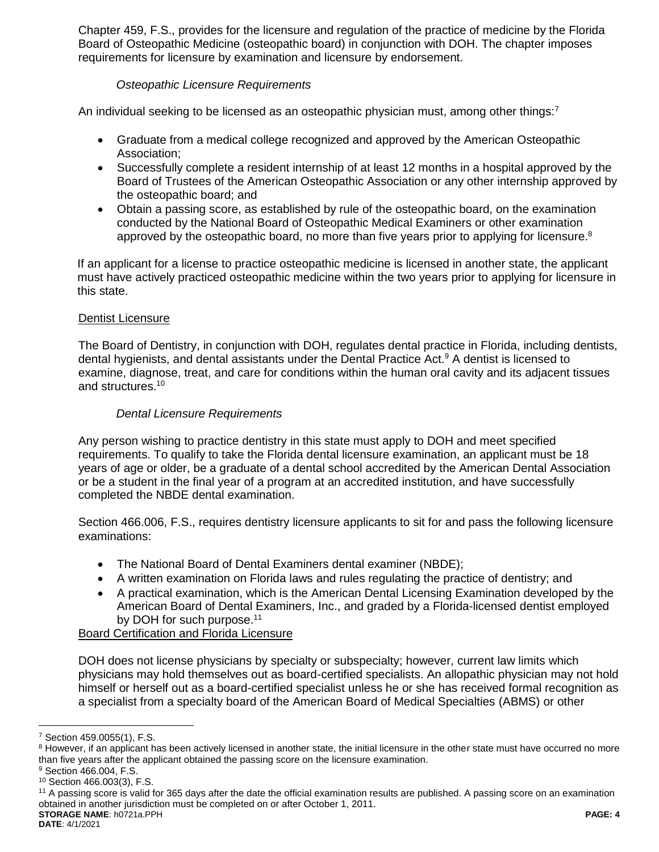Chapter 459, F.S., provides for the licensure and regulation of the practice of medicine by the Florida Board of Osteopathic Medicine (osteopathic board) in conjunction with DOH. The chapter imposes requirements for licensure by examination and licensure by endorsement.

## *Osteopathic Licensure Requirements*

An individual seeking to be licensed as an osteopathic physician must, among other things:<sup>7</sup>

- Graduate from a medical college recognized and approved by the American Osteopathic Association;
- Successfully complete a resident internship of at least 12 months in a hospital approved by the Board of Trustees of the American Osteopathic Association or any other internship approved by the osteopathic board; and
- Obtain a passing score, as established by rule of the osteopathic board, on the examination conducted by the National Board of Osteopathic Medical Examiners or other examination approved by the osteopathic board, no more than five years prior to applying for licensure.<sup>8</sup>

If an applicant for a license to practice osteopathic medicine is licensed in another state, the applicant must have actively practiced osteopathic medicine within the two years prior to applying for licensure in this state.

## Dentist Licensure

The Board of Dentistry, in conjunction with DOH, regulates dental practice in Florida, including dentists, dental hygienists, and dental assistants under the Dental Practice Act.<sup>9</sup> A dentist is licensed to examine, diagnose, treat, and care for conditions within the human oral cavity and its adjacent tissues and structures.<sup>10</sup>

## *Dental Licensure Requirements*

Any person wishing to practice dentistry in this state must apply to DOH and meet specified requirements. To qualify to take the Florida dental licensure examination, an applicant must be 18 years of age or older, be a graduate of a dental school accredited by the American Dental Association or be a student in the final year of a program at an accredited institution, and have successfully completed the NBDE dental examination.

Section 466.006, F.S., requires dentistry licensure applicants to sit for and pass the following licensure examinations:

- The National Board of Dental Examiners dental examiner (NBDE);
- A written examination on Florida laws and rules regulating the practice of dentistry; and
- A practical examination, which is the American Dental Licensing Examination developed by the American Board of Dental Examiners, Inc., and graded by a Florida-licensed dentist employed by DOH for such purpose.<sup>11</sup>

Board Certification and Florida Licensure

DOH does not license physicians by specialty or subspecialty; however, current law limits which physicians may hold themselves out as board-certified specialists. An allopathic physician may not hold himself or herself out as a board-certified specialist unless he or she has received formal recognition as a specialist from a specialty board of the American Board of Medical Specialties (ABMS) or other

<sup>7</sup> Section 459.0055(1), F.S.

<sup>&</sup>lt;sup>8</sup> However, if an applicant has been actively licensed in another state, the initial licensure in the other state must have occurred no more than five years after the applicant obtained the passing score on the licensure examination.

<sup>9</sup> Section 466.004, F.S.

<sup>10</sup> Section 466.003(3), F.S.

**STORAGE NAME**: h0721a.PPH **PAGE: 4** <sup>11</sup> A passing score is valid for 365 days after the date the official examination results are published. A passing score on an examination obtained in another jurisdiction must be completed on or after October 1, 2011.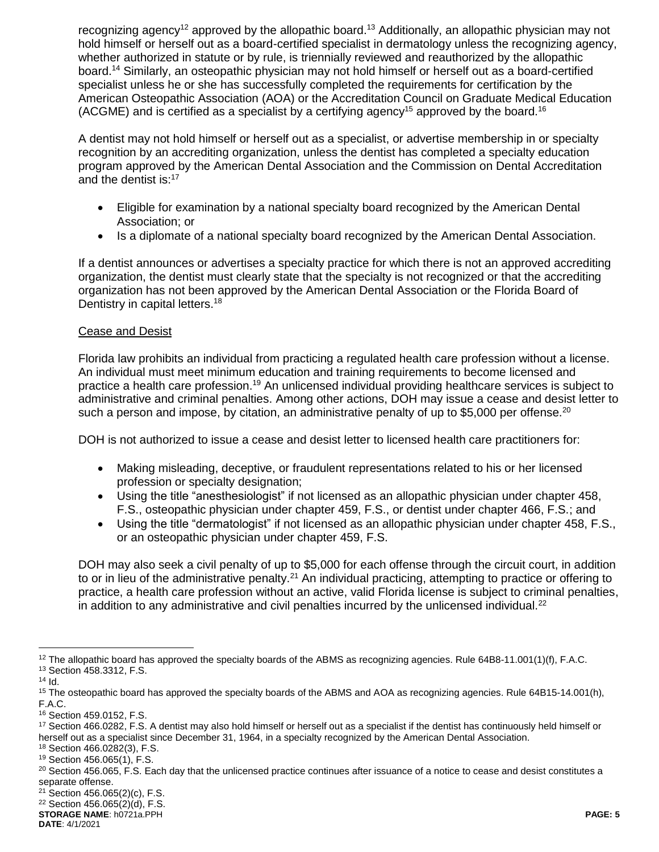recognizing agency<sup>12</sup> approved by the allopathic board.<sup>13</sup> Additionally, an allopathic physician may not hold himself or herself out as a board-certified specialist in dermatology unless the recognizing agency, whether authorized in statute or by rule, is triennially reviewed and reauthorized by the allopathic board. <sup>14</sup> Similarly, an osteopathic physician may not hold himself or herself out as a board-certified specialist unless he or she has successfully completed the requirements for certification by the American Osteopathic Association (AOA) or the Accreditation Council on Graduate Medical Education (ACGME) and is certified as a specialist by a certifying agency<sup>15</sup> approved by the board.<sup>16</sup>

A dentist may not hold himself or herself out as a specialist, or advertise membership in or specialty recognition by an accrediting organization, unless the dentist has completed a specialty education program approved by the American Dental Association and the Commission on Dental Accreditation and the dentist is:<sup>17</sup>

- Eligible for examination by a national specialty board recognized by the American Dental Association; or
- Is a diplomate of a national specialty board recognized by the American Dental Association.

If a dentist announces or advertises a specialty practice for which there is not an approved accrediting organization, the dentist must clearly state that the specialty is not recognized or that the accrediting organization has not been approved by the American Dental Association or the Florida Board of Dentistry in capital letters.<sup>18</sup>

## Cease and Desist

Florida law prohibits an individual from practicing a regulated health care profession without a license. An individual must meet minimum education and training requirements to become licensed and practice a health care profession.<sup>19</sup> An unlicensed individual providing healthcare services is subject to administrative and criminal penalties. Among other actions, DOH may issue a cease and desist letter to such a person and impose, by citation, an administrative penalty of up to \$5,000 per offense.<sup>20</sup>

DOH is not authorized to issue a cease and desist letter to licensed health care practitioners for:

- Making misleading, deceptive, or fraudulent representations related to his or her licensed profession or specialty designation;
- Using the title "anesthesiologist" if not licensed as an allopathic physician under chapter 458, F.S., osteopathic physician under chapter 459, F.S., or dentist under chapter 466, F.S.; and
- Using the title "dermatologist" if not licensed as an allopathic physician under chapter 458, F.S., or an osteopathic physician under chapter 459, F.S.

DOH may also seek a civil penalty of up to \$5,000 for each offense through the circuit court, in addition to or in lieu of the administrative penalty.<sup>21</sup> An individual practicing, attempting to practice or offering to practice, a health care profession without an active, valid Florida license is subject to criminal penalties, in addition to any administrative and civil penalties incurred by the unlicensed individual. $22$ 

<sup>&</sup>lt;sup>12</sup> The allopathic board has approved the specialty boards of the ABMS as recognizing agencies. Rule 64B8-11.001(1)(f), F.A.C. <sup>13</sup> Section 458.3312, F.S.

 $14$  Id.

<sup>&</sup>lt;sup>15</sup> The osteopathic board has approved the specialty boards of the ABMS and AOA as recognizing agencies. Rule 64B15-14.001(h), F.A.C.

<sup>16</sup> Section 459.0152, F.S.

<sup>&</sup>lt;sup>17</sup> Section 466.0282, F.S. A dentist may also hold himself or herself out as a specialist if the dentist has continuously held himself or herself out as a specialist since December 31, 1964, in a specialty recognized by the American Dental Association.

<sup>18</sup> Section 466.0282(3), F.S.

<sup>19</sup> Section 456.065(1), F.S.

<sup>&</sup>lt;sup>20</sup> Section 456.065, F.S. Each day that the unlicensed practice continues after issuance of a notice to cease and desist constitutes a separate offense.

<sup>21</sup> Section 456.065(2)(c), F.S.

<sup>22</sup> Section 456.065(2)(d), F.S.

**STORAGE NAME**: h0721a.PPH **PAGE: 5**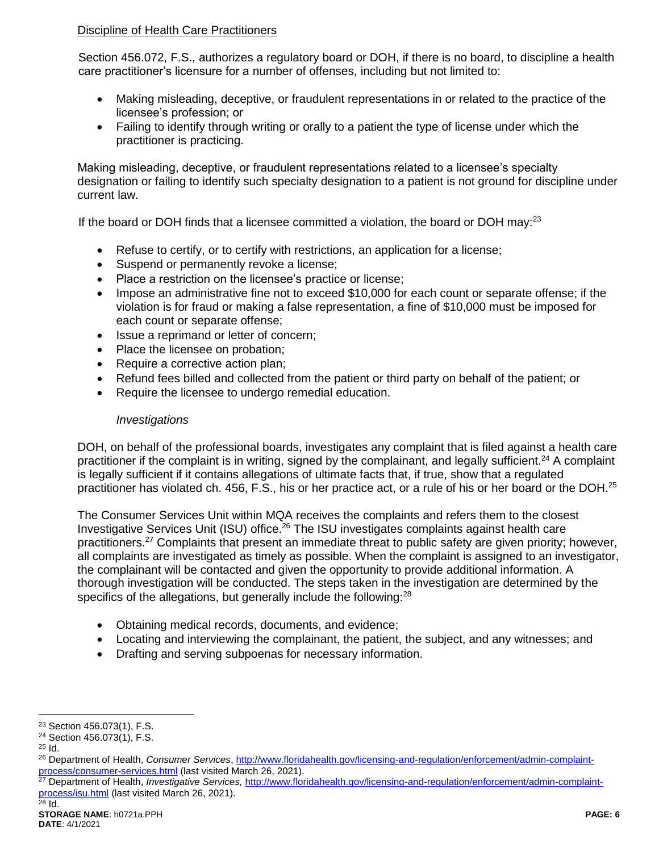# Discipline of Health Care Practitioners

Section 456.072, F.S., authorizes a regulatory board or DOH, if there is no board, to discipline a health care practitioner's licensure for a number of offenses, including but not limited to:

- Making misleading, deceptive, or fraudulent representations in or related to the practice of the licensee's profession; or
- Failing to identify through writing or orally to a patient the type of license under which the practitioner is practicing.

Making misleading, deceptive, or fraudulent representations related to a licensee's specialty designation or failing to identify such specialty designation to a patient is not ground for discipline under current law.

If the board or DOH finds that a licensee committed a violation, the board or DOH may: $^{23}$ 

- Refuse to certify, or to certify with restrictions, an application for a license;
- Suspend or permanently revoke a license;
- Place a restriction on the licensee's practice or license;
- Impose an administrative fine not to exceed \$10,000 for each count or separate offense; if the violation is for fraud or making a false representation, a fine of \$10,000 must be imposed for each count or separate offense;
- Issue a reprimand or letter of concern;
- Place the licensee on probation;
- Require a corrective action plan;
- Refund fees billed and collected from the patient or third party on behalf of the patient; or
- Require the licensee to undergo remedial education.

## *Investigations*

DOH, on behalf of the professional boards, investigates any complaint that is filed against a health care practitioner if the complaint is in writing, signed by the complainant, and legally sufficient.<sup>24</sup> A complaint is legally sufficient if it contains allegations of ultimate facts that, if true, show that a regulated practitioner has violated ch. 456, F.S., his or her practice act, or a rule of his or her board or the DOH.<sup>25</sup>

<span id="page-5-0"></span>The Consumer Services Unit within MQA receives the complaints and refers them to the closest Investigative Services Unit (ISU) office.<sup>26</sup> The ISU investigates complaints against health care practitioners.<sup>27</sup> Complaints that present an immediate threat to public safety are given priority; however, all complaints are investigated as timely as possible. When the complaint is assigned to an investigator, the complainant will be contacted and given the opportunity to provide additional information. A thorough investigation will be conducted. The steps taken in the investigation are determined by the specifics of the allegations, but generally include the following:<sup>28</sup>

- Obtaining medical records, documents, and evidence;
- Locating and interviewing the complainant, the patient, the subject, and any witnesses; and
- Drafting and serving subpoenas for necessary information.

 $\overline{a}$ <sup>23</sup> Section 456.073(1), F.S.

<sup>24</sup> Section 456.073(1), F.S.

<sup>25</sup> Id.

<sup>26</sup> Department of Health, *Consumer Services*, [http://www.floridahealth.gov/licensing-and-regulation/enforcement/admin-complaint](http://www.floridahealth.gov/licensing-and-regulation/enforcement/admin-complaint-process/consumer-services.html)**[process/consumer-services.html](http://www.floridahealth.gov/licensing-and-regulation/enforcement/admin-complaint-process/consumer-services.html)** (last visited March 26, 2021).

<sup>27</sup> Department of Health, *Investigative Services,* [http://www.floridahealth.gov/licensing-and-regulation/enforcement/admin-complaint](http://www.floridahealth.gov/licensing-and-regulation/enforcement/admin-complaint-process/isu.html)[process/isu.html](http://www.floridahealth.gov/licensing-and-regulation/enforcement/admin-complaint-process/isu.html) (last visited March 26, 2021).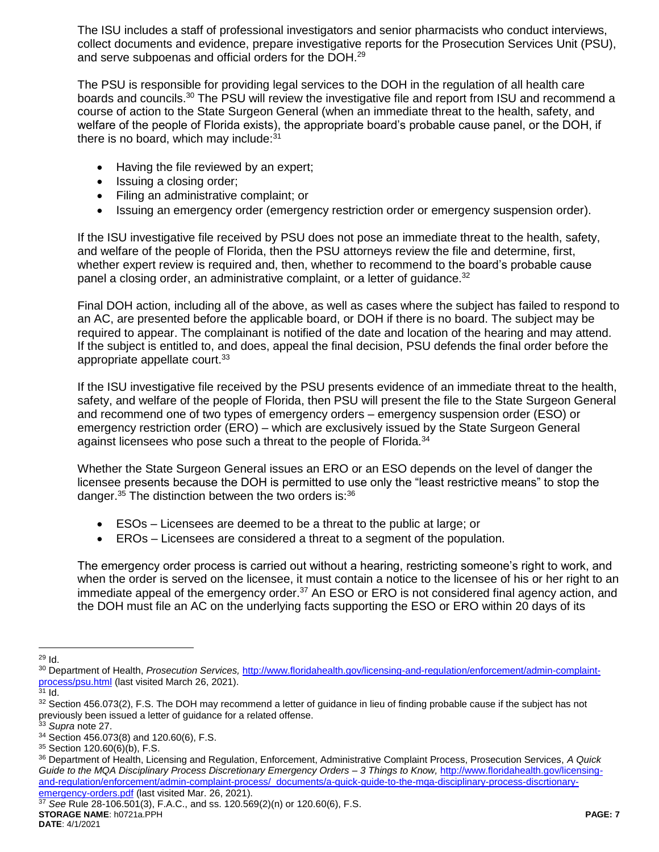The ISU includes a staff of professional investigators and senior pharmacists who conduct interviews, collect documents and evidence, prepare investigative reports for the Prosecution Services Unit (PSU), and serve subpoenas and official orders for the DOH.<sup>29</sup>

The PSU is responsible for providing legal services to the DOH in the regulation of all health care boards and councils.<sup>30</sup> The PSU will review the investigative file and report from ISU and recommend a course of action to the State Surgeon General (when an immediate threat to the health, safety, and welfare of the people of Florida exists), the appropriate board's probable cause panel, or the DOH, if there is no board, which may include: $31$ 

- Having the file reviewed by an expert;
- Issuing a closing order;
- Filing an administrative complaint; or
- Issuing an emergency order (emergency restriction order or emergency suspension order).

If the ISU investigative file received by PSU does not pose an immediate threat to the health, safety, and welfare of the people of Florida, then the PSU attorneys review the file and determine, first, whether expert review is required and, then, whether to recommend to the board's probable cause panel a closing order, an administrative complaint, or a letter of guidance.<sup>32</sup>

Final DOH action, including all of the above, as well as cases where the subject has failed to respond to an AC, are presented before the applicable board, or DOH if there is no board. The subject may be required to appear. The complainant is notified of the date and location of the hearing and may attend. If the subject is entitled to, and does, appeal the final decision, PSU defends the final order before the appropriate appellate court.<sup>33</sup>

If the ISU investigative file received by the PSU presents evidence of an immediate threat to the health, safety, and welfare of the people of Florida, then PSU will present the file to the State Surgeon General and recommend one of two types of emergency orders – emergency suspension order (ESO) or emergency restriction order (ERO) – which are exclusively issued by the State Surgeon General against licensees who pose such a threat to the people of Florida.<sup>34</sup>

Whether the State Surgeon General issues an ERO or an ESO depends on the level of danger the licensee presents because the DOH is permitted to use only the "least restrictive means" to stop the danger. $35$  The distinction between the two orders is: $36$ 

- ESOs Licensees are deemed to be a threat to the public at large; or
- EROs Licensees are considered a threat to a segment of the population.

The emergency order process is carried out without a hearing, restricting someone's right to work, and when the order is served on the licensee, it must contain a notice to the licensee of his or her right to an immediate appeal of the emergency order.<sup>37</sup> An ESO or ERO is not considered final agency action, and the DOH must file an AC on the underlying facts supporting the ESO or ERO within 20 days of its

**STORAGE NAME**: h0721a.PPH **PAGE: 7 DATE**: 4/1/2021 <sup>37</sup> *See* Rule 28-106.501(3), F.A.C., and ss. 120.569(2)(n) or 120.60(6), F.S.

 $\overline{a}$ <sup>29</sup> Id.

<sup>30</sup> Department of Health, *Prosecution Services,* [http://www.floridahealth.gov/licensing-and-regulation/enforcement/admin-complaint](http://www.floridahealth.gov/licensing-and-regulation/enforcement/admin-complaint-process/psu.html)[process/psu.html](http://www.floridahealth.gov/licensing-and-regulation/enforcement/admin-complaint-process/psu.html) (last visited March 26, 2021).

 $31$  Id.

<sup>32</sup> Section 456.073(2), F.S. The DOH may recommend a letter of guidance in lieu of finding probable cause if the subject has not previously been issued a letter of guidance for a related offense.

<sup>33</sup> *Supra* not[e 27.](#page-5-0)

<sup>34</sup> Section 456.073(8) and 120.60(6), F.S.

<sup>35</sup> Section 120.60(6)(b), F.S.

<sup>36</sup> Department of Health, Licensing and Regulation, Enforcement, Administrative Complaint Process, Prosecution Services, *A Quick Guide to the MQA Disciplinary Process Discretionary Emergency Orders – 3 Things to Know,* [http://www.floridahealth.gov/licensing](http://www.floridahealth.gov/licensing-and-regulation/enforcement/admin-complaint-process/_documents/a-quick-guide-to-the-mqa-disciplinary-process-discrtionary-emergency-orders.pdf)[and-regulation/enforcement/admin-complaint-process/\\_documents/a-quick-guide-to-the-mqa-disciplinary-process-discrtionary](http://www.floridahealth.gov/licensing-and-regulation/enforcement/admin-complaint-process/_documents/a-quick-guide-to-the-mqa-disciplinary-process-discrtionary-emergency-orders.pdf)[emergency-orders.pdf](http://www.floridahealth.gov/licensing-and-regulation/enforcement/admin-complaint-process/_documents/a-quick-guide-to-the-mqa-disciplinary-process-discrtionary-emergency-orders.pdf) (last visited Mar. 26, 2021).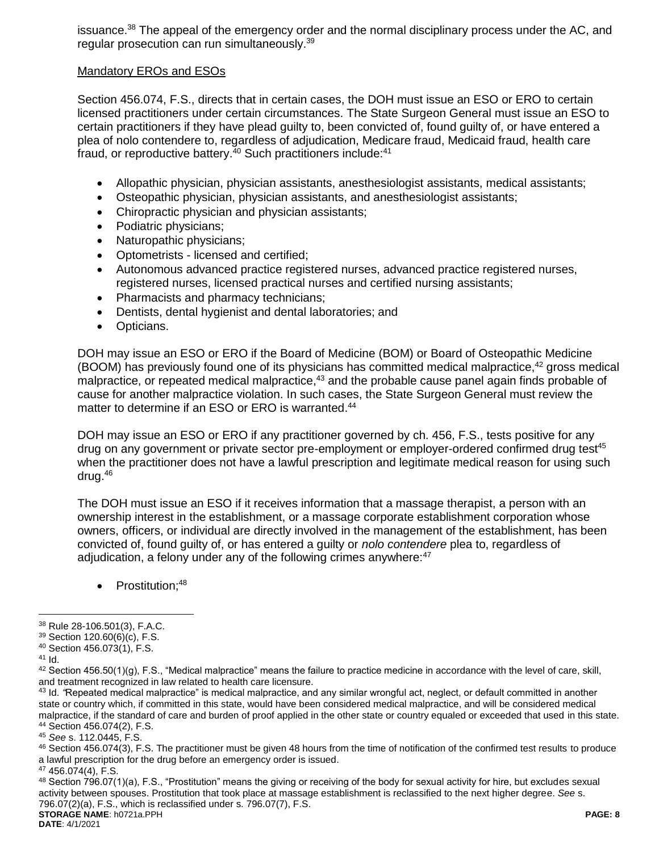issuance.<sup>38</sup> The appeal of the emergency order and the normal disciplinary process under the AC, and regular prosecution can run simultaneously.<sup>39</sup>

#### Mandatory EROs and ESOs

Section 456.074, F.S., directs that in certain cases, the DOH must issue an ESO or ERO to certain licensed practitioners under certain circumstances. The State Surgeon General must issue an ESO to certain practitioners if they have plead guilty to, been convicted of, found guilty of, or have entered a plea of nolo contendere to, regardless of adjudication, Medicare fraud, Medicaid fraud, health care fraud, or reproductive battery.<sup>40</sup> Such practitioners include:<sup>41</sup>

- Allopathic physician, physician assistants, anesthesiologist assistants, medical assistants;
- Osteopathic physician, physician assistants, and anesthesiologist assistants;
- Chiropractic physician and physician assistants;
- Podiatric physicians;
- Naturopathic physicians;
- Optometrists licensed and certified;
- Autonomous advanced practice registered nurses, advanced practice registered nurses, registered nurses, licensed practical nurses and certified nursing assistants;
- Pharmacists and pharmacy technicians:
- Dentists, dental hygienist and dental laboratories; and
- Opticians.

DOH may issue an ESO or ERO if the Board of Medicine (BOM) or Board of Osteopathic Medicine (BOOM) has previously found one of its physicians has committed medical malpractice,<sup>42</sup> gross medical malpractice, or repeated medical malpractice,<sup>43</sup> and the probable cause panel again finds probable of cause for another malpractice violation. In such cases, the State Surgeon General must review the matter to determine if an ESO or ERO is warranted.<sup>44</sup>

DOH may issue an ESO or ERO if any practitioner governed by ch. 456, F.S., tests positive for any drug on any government or private sector pre-employment or employer-ordered confirmed drug test<sup>45</sup> when the practitioner does not have a lawful prescription and legitimate medical reason for using such drug. 46

The DOH must issue an ESO if it receives information that a massage therapist, a person with an ownership interest in the establishment, or a massage corporate establishment corporation whose owners, officers, or individual are directly involved in the management of the establishment, has been convicted of, found guilty of, or has entered a guilty or *nolo contendere* plea to, regardless of adjudication, a felony under any of the following crimes anywhere: $47$ 

Prostitution;<sup>48</sup>

 $\overline{a}$ 

<sup>43</sup> Id*. "*Repeated medical malpractice" is medical malpractice, and any similar wrongful act, neglect, or default committed in another state or country which, if committed in this state, would have been considered medical malpractice, and will be considered medical malpractice, if the standard of care and burden of proof applied in the other state or country equaled or exceeded that used in this state. <sup>44</sup> Section 456.074(2), F.S.

<sup>45</sup> *See* s. 112.0445, F.S.

46 Section 456.074(3), F.S. The practitioner must be given 48 hours from the time of notification of the confirmed test results to produce a lawful prescription for the drug before an emergency order is issued.

<sup>47</sup> 456.074(4), F.S.

**STORAGE NAME**: h0721a.PPH **PAGE: 8** 48 Section 796.07(1)(a), F.S., "Prostitution" means the giving or receiving of the body for sexual activity for hire, but excludes sexual activity between spouses. Prostitution that took place at massage establishment is reclassified to the next higher degree. *See* s. 796.07(2)(a), F.S., which is reclassified under s. 796.07(7), F.S.

**DATE**: 4/1/2021

<sup>38</sup> Rule 28-106.501(3), F.A.C.

<sup>39</sup> Section 120.60(6)(c), F.S.

<sup>40</sup> Section 456.073(1), F.S.

<sup>41</sup> Id.

 $42$  Section 456.50(1)(g), F.S., "Medical malpractice" means the failure to practice medicine in accordance with the level of care, skill, and treatment recognized in law related to health care licensure.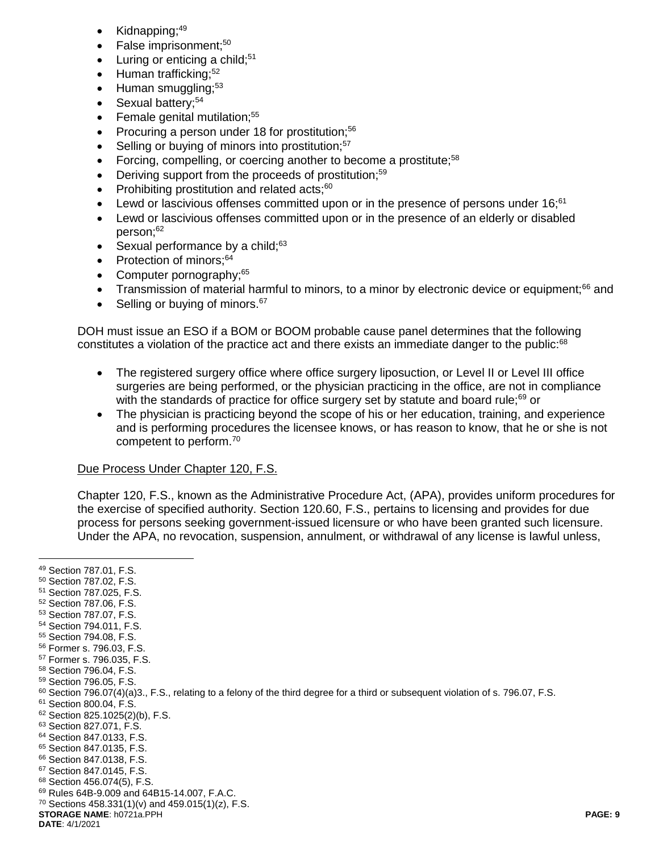- Kidnapping:<sup>49</sup>
- False imprisonment;<sup>50</sup>
- Luring or enticing a child:<sup>51</sup>
- $\bullet$  Human trafficking;<sup>52</sup>
- $\bullet$  Human smuggling;<sup>53</sup>
- Sexual battery;<sup>54</sup>
- $\bullet$  Female genital mutilation;<sup>55</sup>
- Procuring a person under 18 for prostitution; $56$
- Selling or buying of minors into prostitution;<sup>57</sup>
- Forcing, compelling, or coercing another to become a prostitute;<sup>58</sup>
- $\bullet$  Deriving support from the proceeds of prostitution;<sup>59</sup>
- Prohibiting prostitution and related acts; $60$
- Lewd or lascivious offenses committed upon or in the presence of persons under 16;<sup>61</sup>
- Lewd or lascivious offenses committed upon or in the presence of an elderly or disabled person;<sup>62</sup>
- Sexual performance by a child; $63$
- Protection of minors; $64$
- Computer pornography;<sup>65</sup>
- Transmission of material harmful to minors, to a minor by electronic device or equipment;<sup>66</sup> and
- $\bullet$  Selling or buying of minors.  $67$

DOH must issue an ESO if a BOM or BOOM probable cause panel determines that the following constitutes a violation of the practice act and there exists an immediate danger to the public: $68$ 

- The registered surgery office where office surgery liposuction, or Level II or Level III office surgeries are being performed, or the physician practicing in the office, are not in compliance with the standards of practice for office surgery set by statute and board rule; $69$  or
- The physician is practicing beyond the scope of his or her education, training, and experience and is performing procedures the licensee knows, or has reason to know, that he or she is not competent to perform.<sup>70</sup>

#### Due Process Under Chapter 120, F.S.

Chapter 120, F.S., known as the Administrative Procedure Act, (APA), provides uniform procedures for the exercise of specified authority. Section 120.60, F.S., pertains to licensing and provides for due process for persons seeking government-issued licensure or who have been granted such licensure. Under the APA, no revocation, suspension, annulment, or withdrawal of any license is lawful unless,

 $\overline{a}$ 

- <sup>52</sup> Section 787.06, F.S.
- <sup>53</sup> Section 787.07, F.S. <sup>54</sup> Section 794.011, F.S.
- <sup>55</sup> Section 794.08, F.S.
- <sup>56</sup> Former s. 796.03, F.S.
- <sup>57</sup> Former s. 796.035, F.S.
- <sup>58</sup> Section 796.04, F.S.
- <sup>59</sup> Section 796.05, F.S.
- $60$  Section 796.07(4)(a)3., F.S., relating to a felony of the third degree for a third or subsequent violation of s. 796.07, F.S.
- <sup>61</sup> Section 800.04, F.S.
- <sup>62</sup> Section 825.1025(2)(b), F.S.

<sup>65</sup> Section 847.0135, F.S.

 $70$  Sections 458.331(1)(v) and 459.015(1)(z), F.S.

**DATE**: 4/1/2021

<sup>49</sup> Section 787.01, F.S.

<sup>50</sup> Section 787.02, F.S.

<sup>51</sup> Section 787.025, F.S.

<sup>63</sup> Section 827.071, F.S.

<sup>64</sup> Section 847.0133, F.S.

<sup>66</sup> Section 847.0138, F.S. <sup>67</sup> Section 847.0145, F.S.

<sup>68</sup> Section 456.074(5), F.S.

<sup>69</sup> Rules 64B-9.009 and 64B15-14.007, F.A.C.

**STORAGE NAME**: h0721a.PPH **PAGE: 9**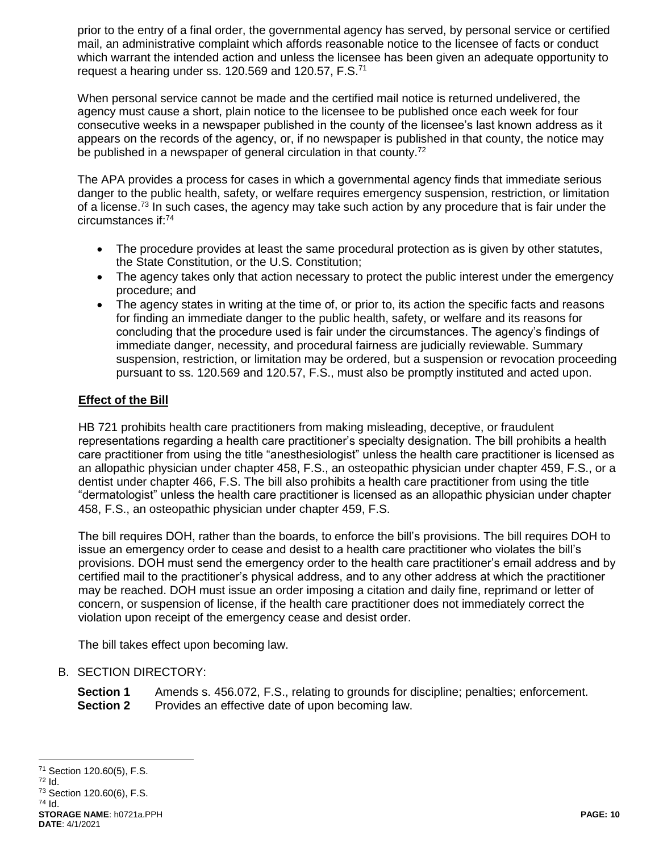prior to the entry of a final order, the governmental agency has served, by personal service or certified mail, an administrative complaint which affords reasonable notice to the licensee of facts or conduct which warrant the intended action and unless the licensee has been given an adequate opportunity to request a hearing under ss. 120.569 and 120.57, F.S.<sup>71</sup>

When personal service cannot be made and the certified mail notice is returned undelivered, the agency must cause a short, plain notice to the licensee to be published once each week for four consecutive weeks in a newspaper published in the county of the licensee's last known address as it appears on the records of the agency, or, if no newspaper is published in that county, the notice may be published in a newspaper of general circulation in that county.<sup>72</sup>

The APA provides a process for cases in which a governmental agency finds that immediate serious danger to the public health, safety, or welfare requires emergency suspension, restriction, or limitation of a license.<sup>73</sup> In such cases, the agency may take such action by any procedure that is fair under the circumstances if:<sup>74</sup>

- The procedure provides at least the same procedural protection as is given by other statutes, the State Constitution, or the U.S. Constitution;
- The agency takes only that action necessary to protect the public interest under the emergency procedure; and
- The agency states in writing at the time of, or prior to, its action the specific facts and reasons for finding an immediate danger to the public health, safety, or welfare and its reasons for concluding that the procedure used is fair under the circumstances. The agency's findings of immediate danger, necessity, and procedural fairness are judicially reviewable. Summary suspension, restriction, or limitation may be ordered, but a suspension or revocation proceeding pursuant to ss. 120.569 and 120.57, F.S., must also be promptly instituted and acted upon.

# **Effect of the Bill**

HB 721 prohibits health care practitioners from making misleading, deceptive, or fraudulent representations regarding a health care practitioner's specialty designation. The bill prohibits a health care practitioner from using the title "anesthesiologist" unless the health care practitioner is licensed as an allopathic physician under chapter 458, F.S., an osteopathic physician under chapter 459, F.S., or a dentist under chapter 466, F.S. The bill also prohibits a health care practitioner from using the title "dermatologist" unless the health care practitioner is licensed as an allopathic physician under chapter 458, F.S., an osteopathic physician under chapter 459, F.S.

The bill requires DOH, rather than the boards, to enforce the bill's provisions. The bill requires DOH to issue an emergency order to cease and desist to a health care practitioner who violates the bill's provisions. DOH must send the emergency order to the health care practitioner's email address and by certified mail to the practitioner's physical address, and to any other address at which the practitioner may be reached. DOH must issue an order imposing a citation and daily fine, reprimand or letter of concern, or suspension of license, if the health care practitioner does not immediately correct the violation upon receipt of the emergency cease and desist order.

The bill takes effect upon becoming law.

# B. SECTION DIRECTORY:

**Section 1** Amends s. 456.072, F.S., relating to grounds for discipline; penalties; enforcement. **Section 2** Provides an effective date of upon becoming law.

<sup>72</sup> Id.

**DATE**: 4/1/2021

**STORAGE NAME**: h0721a.PPH **PAGE: 10** <sup>73</sup> Section 120.60(6), F.S.  $74$  Id.

 $\overline{a}$ <sup>71</sup> Section 120.60(5), F.S.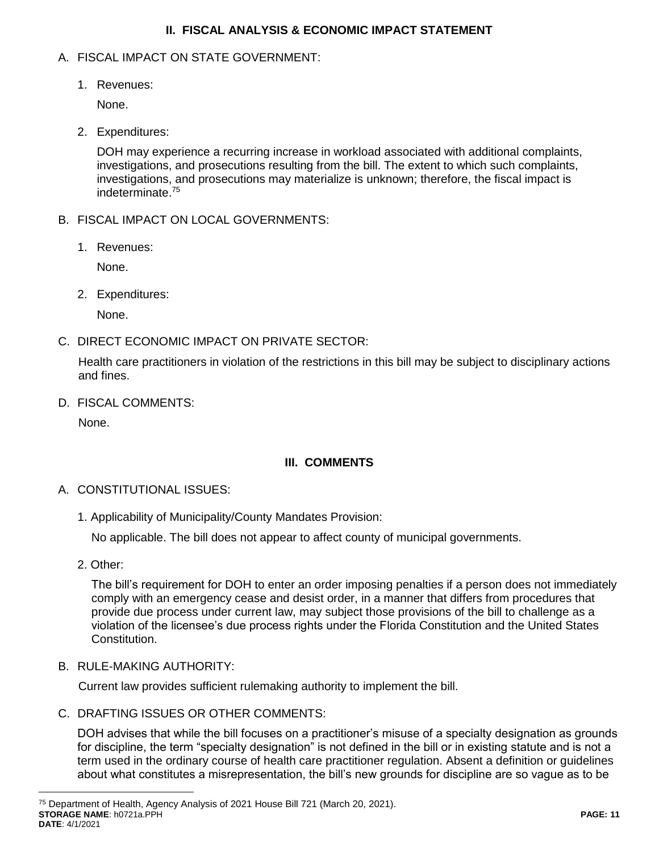## **II. FISCAL ANALYSIS & ECONOMIC IMPACT STATEMENT**

## A. FISCAL IMPACT ON STATE GOVERNMENT:

1. Revenues:

None.

2. Expenditures:

<span id="page-10-0"></span>DOH may experience a recurring increase in workload associated with additional complaints, investigations, and prosecutions resulting from the bill. The extent to which such complaints, investigations, and prosecutions may materialize is unknown; therefore, the fiscal impact is indeterminate. 75

- B. FISCAL IMPACT ON LOCAL GOVERNMENTS:
	- 1. Revenues:

None.

2. Expenditures:

None.

C. DIRECT ECONOMIC IMPACT ON PRIVATE SECTOR:

Health care practitioners in violation of the restrictions in this bill may be subject to disciplinary actions and fines.

D. FISCAL COMMENTS:

None.

# **III. COMMENTS**

- A. CONSTITUTIONAL ISSUES:
	- 1. Applicability of Municipality/County Mandates Provision:

No applicable. The bill does not appear to affect county of municipal governments.

2. Other:

 $\overline{a}$ 

The bill's requirement for DOH to enter an order imposing penalties if a person does not immediately comply with an emergency cease and desist order, in a manner that differs from procedures that provide due process under current law, may subject those provisions of the bill to challenge as a violation of the licensee's due process rights under the Florida Constitution and the United States Constitution.

B. RULE-MAKING AUTHORITY:

Current law provides sufficient rulemaking authority to implement the bill.

C. DRAFTING ISSUES OR OTHER COMMENTS:

DOH advises that while the bill focuses on a practitioner's misuse of a specialty designation as grounds for discipline, the term "specialty designation" is not defined in the bill or in existing statute and is not a term used in the ordinary course of health care practitioner regulation. Absent a definition or guidelines about what constitutes a misrepresentation, the bill's new grounds for discipline are so vague as to be